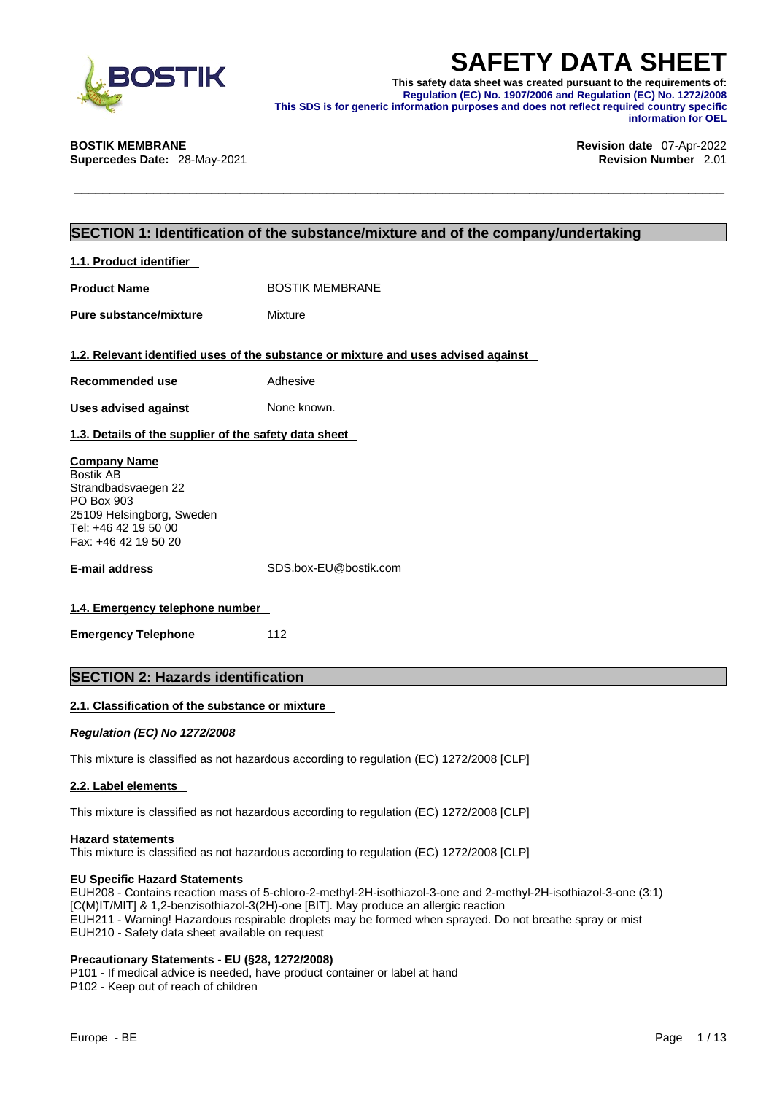

**SAFETY DATA SHEET**<br>
This safety data sheet was created pursuant to the requirements of:<br>
Regulation (EC) No. 1907/2006 and Regulation (EC) No. 1272/2008<br>
This SDS is for generic information purposes and does not reflect r **This safety data sheet was created pursuant to the requirements of: Regulation (EC) No. 1907/2006 and Regulation (EC) No. 1272/2008 This SDS is for generic information purposes and does not reflect required country specific information for OEL** 

**Supercedes Date:** 28-May-2021 **Revision Number** 2.01

# **BOSTIK MEMBRANE Revision date** 07-Apr-2022

# **SECTION 1: Identification of the substance/mixture and of the company/undertaking**

| 1.1. Product identifier                                                                                                                                   |                                                                                    |
|-----------------------------------------------------------------------------------------------------------------------------------------------------------|------------------------------------------------------------------------------------|
| <b>Product Name</b>                                                                                                                                       | <b>BOSTIK MEMBRANE</b>                                                             |
| Pure substance/mixture                                                                                                                                    | Mixture                                                                            |
|                                                                                                                                                           | 1.2. Relevant identified uses of the substance or mixture and uses advised against |
| Recommended use                                                                                                                                           | Adhesive                                                                           |
| <b>Uses advised against</b>                                                                                                                               | None known.                                                                        |
| 1.3. Details of the supplier of the safety data sheet                                                                                                     |                                                                                    |
| <b>Company Name</b><br><b>Bostik AB</b><br>Strandbadsvaegen 22<br>PO Box 903<br>25109 Helsingborg, Sweden<br>Tel: +46 42 19 50 00<br>Fax: +46 42 19 50 20 |                                                                                    |
| <b>E-mail address</b>                                                                                                                                     | SDS.box-EU@bostik.com                                                              |
| 1.4. Emergency telephone number                                                                                                                           |                                                                                    |
| <b>Emergency Telephone</b>                                                                                                                                | 112                                                                                |
| <b>SECTION 2: Hazards identification</b>                                                                                                                  |                                                                                    |

# **2.1. Classification of the substance or mixture**

*Regulation (EC) No 1272/2008* 

This mixture is classified as not hazardous according to regulation (EC) 1272/2008 [CLP]

### **2.2. Label elements**

This mixture is classified as not hazardous according to regulation (EC) 1272/2008 [CLP]

### **Hazard statements**

This mixture is classified as not hazardous according to regulation (EC) 1272/2008 [CLP]

### **EU Specific Hazard Statements**

EUH208 - Contains reaction mass of 5-chloro-2-methyl-2H-isothiazol-3-one and 2-methyl-2H-isothiazol-3-one (3:1) [C(M)IT/MIT] & 1,2-benzisothiazol-3(2H)-one [BIT]. May produce an allergic reaction EUH211 - Warning! Hazardous respirable droplets may be formed when sprayed. Do not breathe spray or mist EUH210 - Safety data sheet available on request

### **Precautionary Statements - EU (§28, 1272/2008)**

P101 - If medical advice is needed, have product container or label at hand P102 - Keep out of reach of children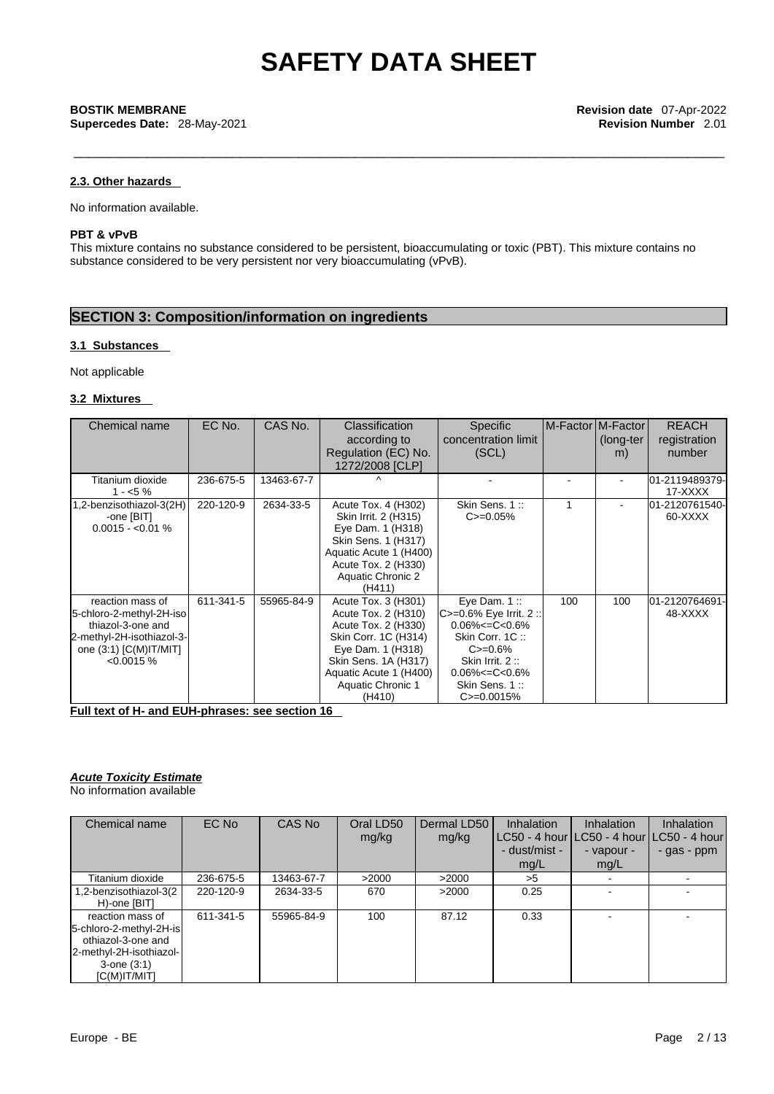**Supercedes Date:** 28-May-2021 **Revision Number** 2.01

### **2.3. Other hazards**

No information available.

# **PBT & vPvB**

This mixture contains no substance considered to be persistent, bioaccumulating or toxic (PBT). This mixture contains no substance considered to be very persistent nor very bioaccumulating (vPvB).

# **SECTION 3: Composition/information on ingredients**

### **3.1 Substances**

Not applicable

## **3.2 Mixtures**

| Chemical name             | EC No.    | CAS No.    | <b>Classification</b>  | <b>Specific</b>             | IM-FactorIM-FactorI |                | <b>REACH</b>   |
|---------------------------|-----------|------------|------------------------|-----------------------------|---------------------|----------------|----------------|
|                           |           |            | according to           | concentration limit         |                     | (long-ter      | registration   |
|                           |           |            | Regulation (EC) No.    | (SCL)                       |                     | m)             | number         |
|                           |           |            | 1272/2008 [CLP]        |                             |                     |                |                |
| Titanium dioxide          | 236-675-5 | 13463-67-7 | $\wedge$               |                             |                     | ۰              | 01-2119489379- |
| $1 - 5\%$                 |           |            |                        |                             |                     |                | 17-XXXX        |
| ,2-benzisothiazol-3(2H)   | 220-120-9 | 2634-33-5  | Acute Tox. 4 (H302)    | Skin Sens. 1::              | 1                   | $\blacksquare$ | 01-2120761540- |
| -one [BIT]                |           |            | Skin Irrit. 2 (H315)   | $C = 0.05\%$                |                     |                | 60-XXXX        |
| $0.0015 - 0.01\%$         |           |            | Eye Dam. 1 (H318)      |                             |                     |                |                |
|                           |           |            | Skin Sens. 1 (H317)    |                             |                     |                |                |
|                           |           |            | Aquatic Acute 1 (H400) |                             |                     |                |                |
|                           |           |            | Acute Tox. 2 (H330)    |                             |                     |                |                |
|                           |           |            | Aquatic Chronic 2      |                             |                     |                |                |
|                           |           |            | (H411)                 |                             |                     |                |                |
| reaction mass of          | 611-341-5 | 55965-84-9 | Acute Tox. 3 (H301)    | Eye Dam. 1:                 | 100                 | 100            | 01-2120764691- |
| 5-chloro-2-methyl-2H-iso  |           |            | Acute Tox. 2 (H310)    | $ C>=0.6\%$ Eye Irrit. 2 :: |                     |                | 48-XXXX        |
| thiazol-3-one and         |           |            | Acute Tox. 2 (H330)    | $0.06\% < = C < 0.6\%$      |                     |                |                |
| 2-methyl-2H-isothiazol-3- |           |            | Skin Corr. 1C (H314)   | Skin Corr. 1C:              |                     |                |                |
| one (3:1) [C(M) IT/MIT]   |           |            | Eye Dam. 1 (H318)      | $C = 0.6\%$                 |                     |                |                |
| $< 0.0015 \%$             |           |            | Skin Sens. 1A (H317)   | Skin Irrit. 2:              |                     |                |                |
|                           |           |            | Aquatic Acute 1 (H400) | $0.06\% < = C < 0.6\%$      |                     |                |                |
|                           |           |            | Aquatic Chronic 1      | Skin Sens. 1::              |                     |                |                |
|                           |           |            | (H410)                 | $C = 0.0015%$               |                     |                |                |

**Full text of H- and EUH-phrases: see section 16**

#### *Acute Toxicity Estimate* No information available

| Chemical name                                                                                                                       | EC No     | CAS No     | Oral LD50<br>mg/kg | Dermal LD50<br>mg/kg | <b>Inhalation</b><br> LC50 - 4 hour LC50 - 4 hour LC50 - 4 hour <br>- dust/mist -<br>mg/L | <b>Inhalation</b><br>- vapour -<br>mg/L | <b>Inhalation</b><br>- gas - ppm |
|-------------------------------------------------------------------------------------------------------------------------------------|-----------|------------|--------------------|----------------------|-------------------------------------------------------------------------------------------|-----------------------------------------|----------------------------------|
| Titanium dioxide                                                                                                                    | 236-675-5 | 13463-67-7 | >2000              | >2000                | >5                                                                                        |                                         |                                  |
| 2-benzisothiazol-3(2.<br>H)-one [BIT]                                                                                               | 220-120-9 | 2634-33-5  | 670                | >2000                | 0.25                                                                                      |                                         |                                  |
| reaction mass of<br>5-chloro-2-methyl-2H-is<br>othiazol-3-one and<br>2-methyl-2H-isothiazol-<br>$3$ -one $(3:1)$<br>$[C(M)$ IT/MIT] | 611-341-5 | 55965-84-9 | 100                | 87.12                | 0.33                                                                                      |                                         |                                  |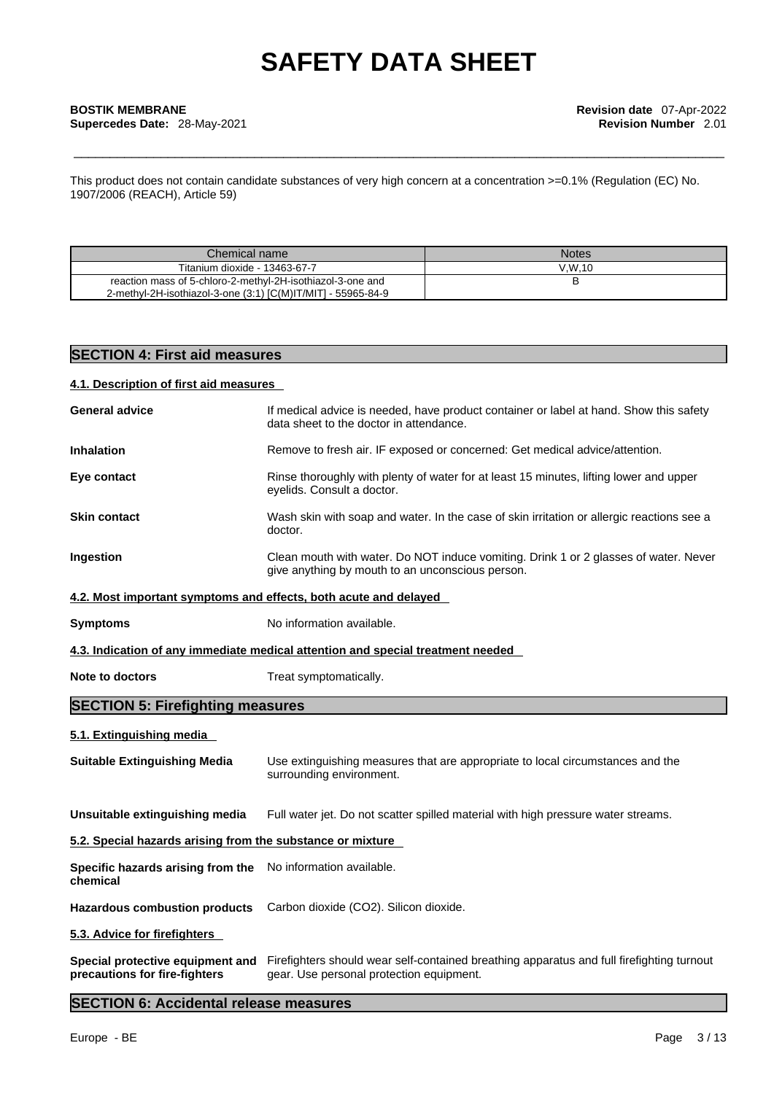This product does not contain candidate substances of very high concern at a concentration >=0.1% (Regulation (EC) No. 1907/2006 (REACH), Article 59)

| Chemical name                                                | <b>Notes</b> |
|--------------------------------------------------------------|--------------|
| Titanium dioxide - 13463-67-7                                | V.W.10       |
| reaction mass of 5-chloro-2-methyl-2H-isothiazol-3-one and   |              |
| 2-methyl-2H-isothiazol-3-one (3:1) [C(M)IT/MIT] - 55965-84-9 |              |

# **SECTION 4: First aid measures**

# **4.1. Description of first aid measures**

| <b>General advice</b>                                             | If medical advice is needed, have product container or label at hand. Show this safety<br>data sheet to the doctor in attendance.        |
|-------------------------------------------------------------------|------------------------------------------------------------------------------------------------------------------------------------------|
| <b>Inhalation</b>                                                 | Remove to fresh air. IF exposed or concerned: Get medical advice/attention.                                                              |
| Eye contact                                                       | Rinse thoroughly with plenty of water for at least 15 minutes, lifting lower and upper<br>eyelids. Consult a doctor.                     |
| <b>Skin contact</b>                                               | Wash skin with soap and water. In the case of skin irritation or allergic reactions see a<br>doctor.                                     |
| <b>Ingestion</b>                                                  | Clean mouth with water. Do NOT induce vomiting. Drink 1 or 2 glasses of water. Never<br>give anything by mouth to an unconscious person. |
| 4.2. Most important symptoms and effects, both acute and delayed  |                                                                                                                                          |
| <b>Symptoms</b>                                                   | No information available.                                                                                                                |
|                                                                   | 4.3. Indication of any immediate medical attention and special treatment needed                                                          |
| <b>Note to doctors</b>                                            | Treat symptomatically.                                                                                                                   |
| <b>SECTION 5: Firefighting measures</b>                           |                                                                                                                                          |
| 5.1. Extinguishing media                                          |                                                                                                                                          |
| <b>Suitable Extinguishing Media</b>                               | Use extinguishing measures that are appropriate to local circumstances and the<br>surrounding environment.                               |
| Unsuitable extinguishing media                                    | Full water jet. Do not scatter spilled material with high pressure water streams.                                                        |
| 5.2. Special hazards arising from the substance or mixture        |                                                                                                                                          |
| Specific hazards arising from the<br>chemical                     | No information available.                                                                                                                |
| <b>Hazardous combustion products</b>                              | Carbon dioxide (CO2). Silicon dioxide.                                                                                                   |
| 5.3. Advice for firefighters                                      |                                                                                                                                          |
| Special protective equipment and<br>precautions for fire-fighters | Firefighters should wear self-contained breathing apparatus and full firefighting turnout<br>gear. Use personal protection equipment.    |
|                                                                   |                                                                                                                                          |

# **SECTION 6: Accidental release measures**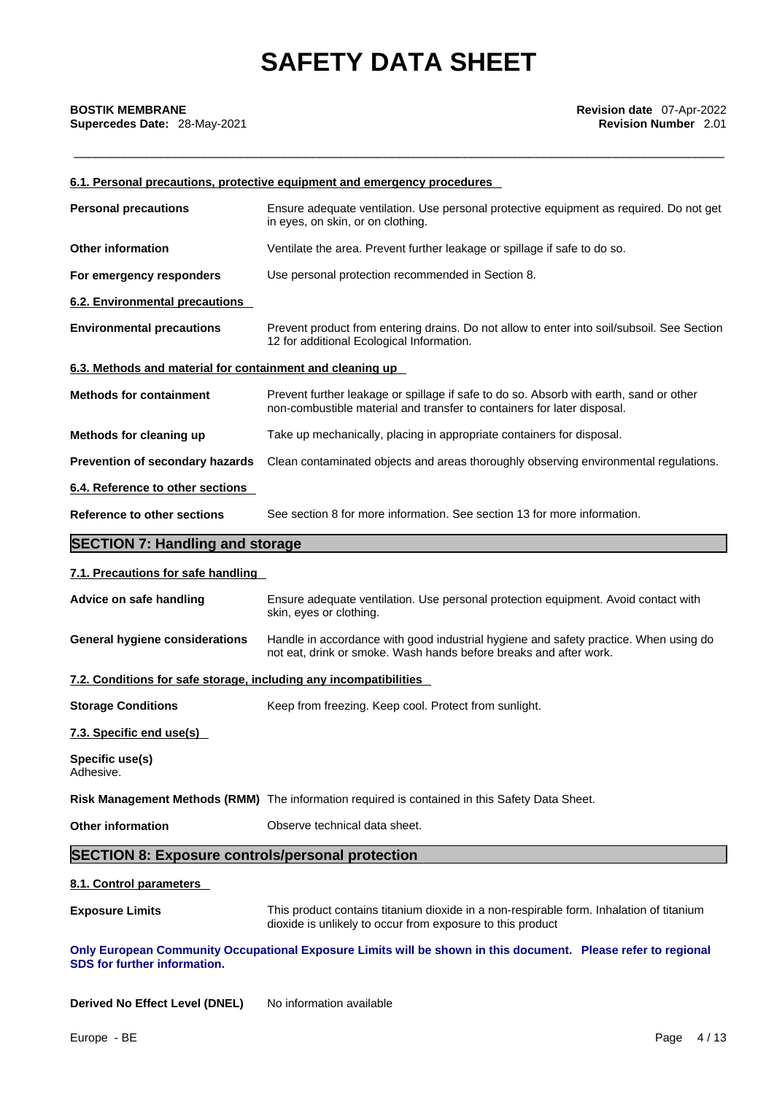# **Supercedes Date: 28-May-2021**

|                                                                   | 6.1. Personal precautions, protective equipment and emergency procedures                                                                                          |
|-------------------------------------------------------------------|-------------------------------------------------------------------------------------------------------------------------------------------------------------------|
| <b>Personal precautions</b>                                       | Ensure adequate ventilation. Use personal protective equipment as required. Do not get<br>in eyes, on skin, or on clothing.                                       |
| <b>Other information</b>                                          | Ventilate the area. Prevent further leakage or spillage if safe to do so.                                                                                         |
| For emergency responders                                          | Use personal protection recommended in Section 8.                                                                                                                 |
| 6.2. Environmental precautions                                    |                                                                                                                                                                   |
| <b>Environmental precautions</b>                                  | Prevent product from entering drains. Do not allow to enter into soil/subsoil. See Section<br>12 for additional Ecological Information.                           |
| 6.3. Methods and material for containment and cleaning up         |                                                                                                                                                                   |
| <b>Methods for containment</b>                                    | Prevent further leakage or spillage if safe to do so. Absorb with earth, sand or other<br>non-combustible material and transfer to containers for later disposal. |
| Methods for cleaning up                                           | Take up mechanically, placing in appropriate containers for disposal.                                                                                             |
| Prevention of secondary hazards                                   | Clean contaminated objects and areas thoroughly observing environmental regulations.                                                                              |
| 6.4. Reference to other sections                                  |                                                                                                                                                                   |
| Reference to other sections                                       | See section 8 for more information. See section 13 for more information.                                                                                          |
| <b>SECTION 7: Handling and storage</b>                            |                                                                                                                                                                   |
| 7.1. Precautions for safe handling                                |                                                                                                                                                                   |
| Advice on safe handling                                           | Ensure adequate ventilation. Use personal protection equipment. Avoid contact with<br>skin, eyes or clothing.                                                     |
| <b>General hygiene considerations</b>                             | Handle in accordance with good industrial hygiene and safety practice. When using do<br>not eat, drink or smoke. Wash hands before breaks and after work.         |
| 7.2. Conditions for safe storage, including any incompatibilities |                                                                                                                                                                   |
| <b>Storage Conditions</b>                                         | Keep from freezing. Keep cool. Protect from sunlight.                                                                                                             |
| 7.3. Specific end use(s)                                          |                                                                                                                                                                   |
| Specific use(s)<br>Adhesive.                                      |                                                                                                                                                                   |
|                                                                   | Risk Management Methods (RMM) The information required is contained in this Safety Data Sheet.                                                                    |
| <b>Other information</b>                                          | Observe technical data sheet.                                                                                                                                     |
| <b>SECTION 8: Exposure controls/personal protection</b>           |                                                                                                                                                                   |
| 8.1. Control parameters                                           |                                                                                                                                                                   |
| <b>Exposure Limits</b>                                            | This product contains titanium dioxide in a non-respirable form. Inhalation of titanium<br>dioxide is unlikely to occur from exposure to this product             |
| SDS for further information.                                      | Only European Community Occupational Exposure Limits will be shown in this document. Please refer to regional                                                     |

**Derived No Effect Level (DNEL)** No information available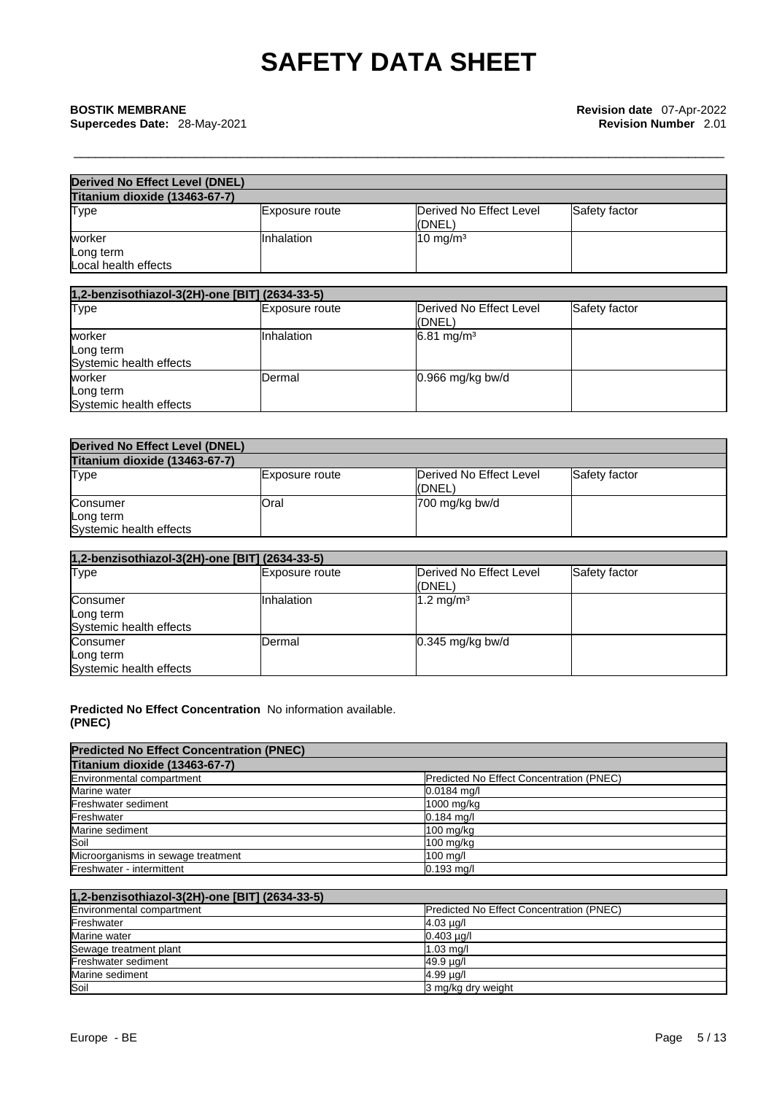Long term Systemic health effects **Systemic** health effects

Systemic health effects **Systemic** health effects

| <b>Derived No Effect Level (DNEL)</b>          |                |                                    |               |
|------------------------------------------------|----------------|------------------------------------|---------------|
| Titanium dioxide (13463-67-7)                  |                |                                    |               |
| Type                                           | Exposure route | Derived No Effect Level<br>l(DNEL) | Safety factor |
| worker<br>Long term<br>Local health effects    | Inhalation     | $10 \text{ mg/m}^3$                |               |
| 1,2-benzisothiazol-3(2H)-one [BIT] (2634-33-5) |                |                                    |               |
| <b>Type</b>                                    | Exposure route | Derived No Effect Level<br>(DNEL)  | Safety factor |
| worker<br>Long term<br>Systemic health effects | Inhalation     | 6.81 mg/m <sup>3</sup>             |               |
| worker                                         | Dermal         | 0.966 mg/kg bw/d                   |               |

| <b>Derived No Effect Level (DNEL)</b> |                |                                   |               |
|---------------------------------------|----------------|-----------------------------------|---------------|
| Titanium dioxide (13463-67-7)         |                |                                   |               |
| <b>Type</b>                           | Exposure route | Derived No Effect Level<br>(DNEL) | Safety factor |
| Consumer<br>Long term                 | <b>Oral</b>    | 700 mg/kg bw/d                    |               |

| 1,2-benzisothiazol-3(2H)-one [BIT] (2634-33-5)   |                       |                                   |               |
|--------------------------------------------------|-----------------------|-----------------------------------|---------------|
| <b>Type</b>                                      | <b>Exposure route</b> | Derived No Effect Level<br>(DNEL) | Safety factor |
| Consumer<br>Long term<br>Systemic health effects | <b>Inhalation</b>     | $1.2 \text{ mg/m}^3$              |               |
| Consumer<br>Long term<br>Systemic health effects | Dermal                | $0.345$ mg/kg bw/d                |               |

**Predicted No Effect Concentration** No information available. **(PNEC)** 

| <b>Predicted No Effect Concentration (PNEC)</b> |                                                 |
|-------------------------------------------------|-------------------------------------------------|
| Titanium dioxide (13463-67-7)                   |                                                 |
| Environmental compartment                       | <b>Predicted No Effect Concentration (PNEC)</b> |
| Marine water                                    | $0.0184$ mg/l                                   |
| Freshwater sediment                             | 1000 mg/kg                                      |
| Freshwater                                      | $0.184$ mg/l                                    |
| Marine sediment                                 | 100 mg/kg                                       |
| Soil                                            | 100 mg/kg                                       |
| Microorganisms in sewage treatment              | $100$ mg/l                                      |
| Freshwater - intermittent                       | $0.193$ mg/l                                    |

| 1,2-benzisothiazol-3(2H)-one [BIT] (2634-33-5) |                                          |
|------------------------------------------------|------------------------------------------|
| Environmental compartment                      | Predicted No Effect Concentration (PNEC) |
| Freshwater                                     | $4.03 \mu q/l$                           |
| Marine water                                   | $0.403 \mu q/l$                          |
| Sewage treatment plant                         | $1.03$ mg/                               |
| Freshwater sediment                            | 49.9 µg/l                                |
| Marine sediment                                | $4.99 \mu g/l$                           |
| Soil                                           | 3 mg/kg dry weight                       |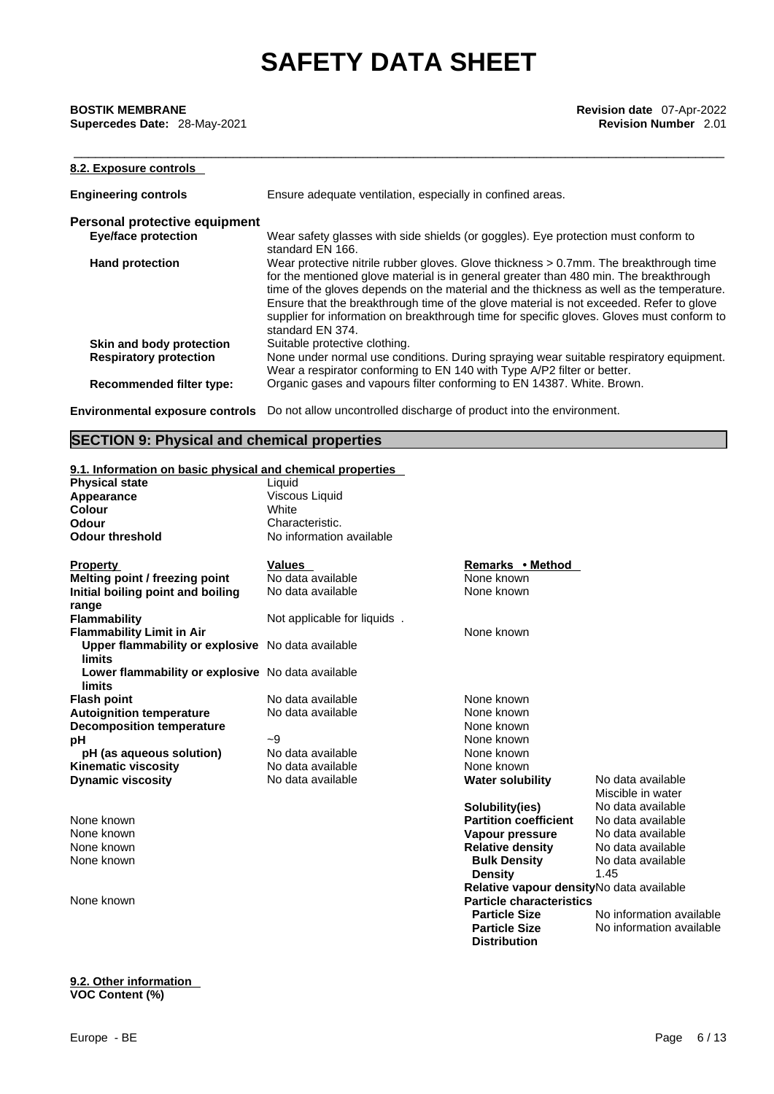**Supercedes Date: 28-May-2021** 

| 8.2. Exposure controls        |                                                                                                                                                                                                                                                                                                                                                                                                                                                                                           |
|-------------------------------|-------------------------------------------------------------------------------------------------------------------------------------------------------------------------------------------------------------------------------------------------------------------------------------------------------------------------------------------------------------------------------------------------------------------------------------------------------------------------------------------|
| <b>Engineering controls</b>   | Ensure adequate ventilation, especially in confined areas.                                                                                                                                                                                                                                                                                                                                                                                                                                |
| Personal protective equipment |                                                                                                                                                                                                                                                                                                                                                                                                                                                                                           |
| <b>Eye/face protection</b>    | Wear safety glasses with side shields (or goggles). Eye protection must conform to<br>standard EN 166.                                                                                                                                                                                                                                                                                                                                                                                    |
| <b>Hand protection</b>        | Wear protective nitrile rubber gloves. Glove thickness $> 0.7$ mm. The breakthrough time<br>for the mentioned glove material is in general greater than 480 min. The breakthrough<br>time of the gloves depends on the material and the thickness as well as the temperature.<br>Ensure that the breakthrough time of the glove material is not exceeded. Refer to glove<br>supplier for information on breakthrough time for specific gloves. Gloves must conform to<br>standard EN 374. |
| Skin and body protection      | Suitable protective clothing.                                                                                                                                                                                                                                                                                                                                                                                                                                                             |
| <b>Respiratory protection</b> | None under normal use conditions. During spraying wear suitable respiratory equipment.<br>Wear a respirator conforming to EN 140 with Type A/P2 filter or better.                                                                                                                                                                                                                                                                                                                         |
| Recommended filter type:      | Organic gases and vapours filter conforming to EN 14387. White. Brown.                                                                                                                                                                                                                                                                                                                                                                                                                    |

**Environmental exposure controls** Do not allow uncontrolled discharge of product into the environment.

# **SECTION 9: Physical and chemical properties**

# **9.1. Information on basic physical and chemical properties**

| <b>Physical state</b>                             | Liquid                      |                                          |                          |
|---------------------------------------------------|-----------------------------|------------------------------------------|--------------------------|
| Appearance                                        | Viscous Liquid              |                                          |                          |
| <b>Colour</b>                                     | White                       |                                          |                          |
| Odour                                             | Characteristic.             |                                          |                          |
| <b>Odour threshold</b>                            | No information available    |                                          |                          |
|                                                   |                             |                                          |                          |
| <b>Property</b>                                   | <b>Values</b>               | Remarks • Method                         |                          |
| Melting point / freezing point                    | No data available           | None known                               |                          |
| Initial boiling point and boiling                 | No data available           | None known                               |                          |
| range                                             |                             |                                          |                          |
| <b>Flammability</b>                               | Not applicable for liquids. |                                          |                          |
| <b>Flammability Limit in Air</b>                  |                             | None known                               |                          |
| Upper flammability or explosive No data available |                             |                                          |                          |
| <b>limits</b>                                     |                             |                                          |                          |
| Lower flammability or explosive No data available |                             |                                          |                          |
| limits                                            |                             |                                          |                          |
| <b>Flash point</b>                                | No data available           | None known                               |                          |
| <b>Autoignition temperature</b>                   | No data available           | None known                               |                          |
| <b>Decomposition temperature</b>                  |                             | None known                               |                          |
| pH                                                | $-9$                        | None known                               |                          |
| pH (as aqueous solution)                          | No data available           | None known                               |                          |
| <b>Kinematic viscosity</b>                        | No data available           | None known                               |                          |
| <b>Dynamic viscosity</b>                          | No data available           | <b>Water solubility</b>                  | No data available        |
|                                                   |                             |                                          | Miscible in water        |
|                                                   |                             | Solubility(ies)                          | No data available        |
| None known                                        |                             | <b>Partition coefficient</b>             | No data available        |
| None known                                        |                             | Vapour pressure                          | No data available        |
| None known                                        |                             | <b>Relative density</b>                  | No data available        |
| None known                                        |                             | <b>Bulk Density</b>                      | No data available        |
|                                                   |                             | <b>Density</b>                           | 1.45                     |
|                                                   |                             | Relative vapour densityNo data available |                          |
| None known                                        |                             | <b>Particle characteristics</b>          |                          |
|                                                   |                             | <b>Particle Size</b>                     | No information available |
|                                                   |                             | <b>Particle Size</b>                     | No information available |
|                                                   |                             | <b>Distribution</b>                      |                          |
|                                                   |                             |                                          |                          |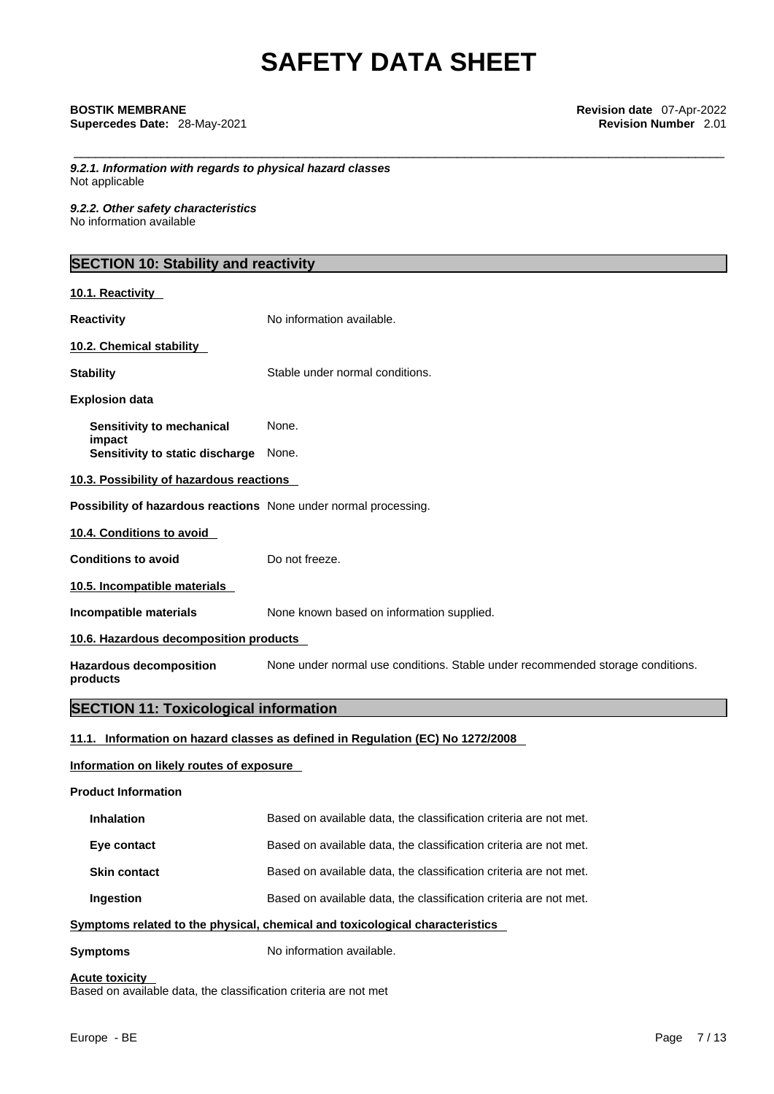*9.2.1. Information with regards to physical hazard classes* Not applicable

*9.2.2. Other safety characteristics* No information available

# **SECTION 10: Stability and reactivity**

| 10.1. Reactivity                                                 |                                                                                |
|------------------------------------------------------------------|--------------------------------------------------------------------------------|
| <b>Reactivity</b>                                                | No information available.                                                      |
| 10.2. Chemical stability                                         |                                                                                |
| <b>Stability</b>                                                 | Stable under normal conditions.                                                |
| <b>Explosion data</b>                                            |                                                                                |
| Sensitivity to mechanical<br>impact                              | None.                                                                          |
| Sensitivity to static discharge                                  | None.                                                                          |
| 10.3. Possibility of hazardous reactions                         |                                                                                |
| Possibility of hazardous reactions None under normal processing. |                                                                                |
| 10.4. Conditions to avoid                                        |                                                                                |
| <b>Conditions to avoid</b>                                       | Do not freeze.                                                                 |
| 10.5. Incompatible materials                                     |                                                                                |
| Incompatible materials                                           | None known based on information supplied.                                      |
| 10.6. Hazardous decomposition products                           |                                                                                |
| <b>Hazardous decomposition</b><br>products                       | None under normal use conditions. Stable under recommended storage conditions. |
| <b>SECTION 11: Toxicological information</b>                     |                                                                                |
|                                                                  | 11.1. Information on hazard classes as defined in Regulation (EC) No 1272/2008 |
| Information on likely routes of exposure                         |                                                                                |

### **Product Information**

| <b>Inhalation</b>   | Based on available data, the classification criteria are not met. |
|---------------------|-------------------------------------------------------------------|
| Eye contact         | Based on available data, the classification criteria are not met. |
| <b>Skin contact</b> | Based on available data, the classification criteria are not met. |
| Ingestion           | Based on available data, the classification criteria are not met. |

# **<u>Symptoms related to the physical, chemical and toxicological characteristics</u>**

**Symptoms** No information available.

# **Acute toxicity**

Based on available data, the classification criteria are not met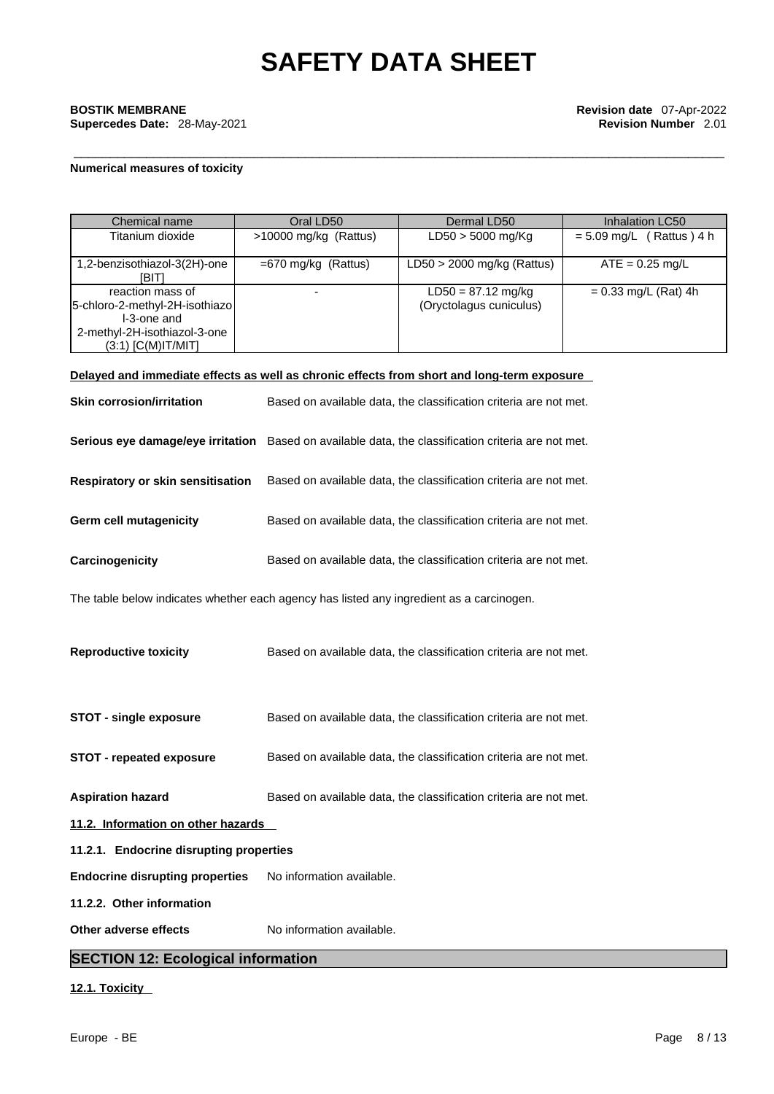**Supercedes Date: 28-May-2021** 

## **Numerical measures of toxicity**

| Chemical name                                                                                       | Oral LD50                                                         | Dermal LD50                                                       | <b>Inhalation LC50</b>     |
|-----------------------------------------------------------------------------------------------------|-------------------------------------------------------------------|-------------------------------------------------------------------|----------------------------|
| Titanium dioxide                                                                                    | >10000 mg/kg (Rattus)                                             | LD50 > 5000 mg/Kg                                                 | $= 5.09$ mg/L (Rattus) 4 h |
| 1,2-benzisothiazol-3(2H)-one<br>[BIT]                                                               | $=670$ mg/kg (Rattus)                                             | LD50 $>$ 2000 mg/kg (Rattus)                                      | $ATE = 0.25$ mg/L          |
| reaction mass of<br>5-chloro-2-methyl-2H-isothiazo<br>I-3-one and                                   |                                                                   | $LD50 = 87.12$ mg/kg<br>(Oryctolagus cuniculus)                   | $= 0.33$ mg/L (Rat) 4h     |
| 2-methyl-2H-isothiazol-3-one<br>$(3:1)$ [C(M)IT/MIT]                                                |                                                                   |                                                                   |                            |
| Delayed and immediate effects as well as chronic effects from short and long-term exposure          |                                                                   |                                                                   |                            |
| <b>Skin corrosion/irritation</b>                                                                    |                                                                   | Based on available data, the classification criteria are not met. |                            |
| Serious eye damage/eye irritation Based on available data, the classification criteria are not met. |                                                                   |                                                                   |                            |
| Respiratory or skin sensitisation                                                                   |                                                                   | Based on available data, the classification criteria are not met. |                            |
| Germ cell mutagenicity                                                                              |                                                                   | Based on available data, the classification criteria are not met. |                            |
| Carcinogenicity                                                                                     |                                                                   | Based on available data, the classification criteria are not met. |                            |
| The table below indicates whether each agency has listed any ingredient as a carcinogen.            |                                                                   |                                                                   |                            |
| <b>Reproductive toxicity</b>                                                                        |                                                                   | Based on available data, the classification criteria are not met. |                            |
| <b>STOT - single exposure</b>                                                                       |                                                                   | Based on available data, the classification criteria are not met. |                            |
| STOT - repeated exposure                                                                            |                                                                   | Based on available data, the classification criteria are not met. |                            |
| <b>Aspiration hazard</b>                                                                            | Based on available data, the classification criteria are not met. |                                                                   |                            |
| 11.2. Information on other hazards                                                                  |                                                                   |                                                                   |                            |
| 11.2.1. Endocrine disrupting properties                                                             |                                                                   |                                                                   |                            |
| <b>Endocrine disrupting properties</b>                                                              | No information available.                                         |                                                                   |                            |
| 11.2.2. Other information                                                                           |                                                                   |                                                                   |                            |
|                                                                                                     |                                                                   |                                                                   |                            |

# **SECTION 12: Ecological information**

# **12.1. Toxicity**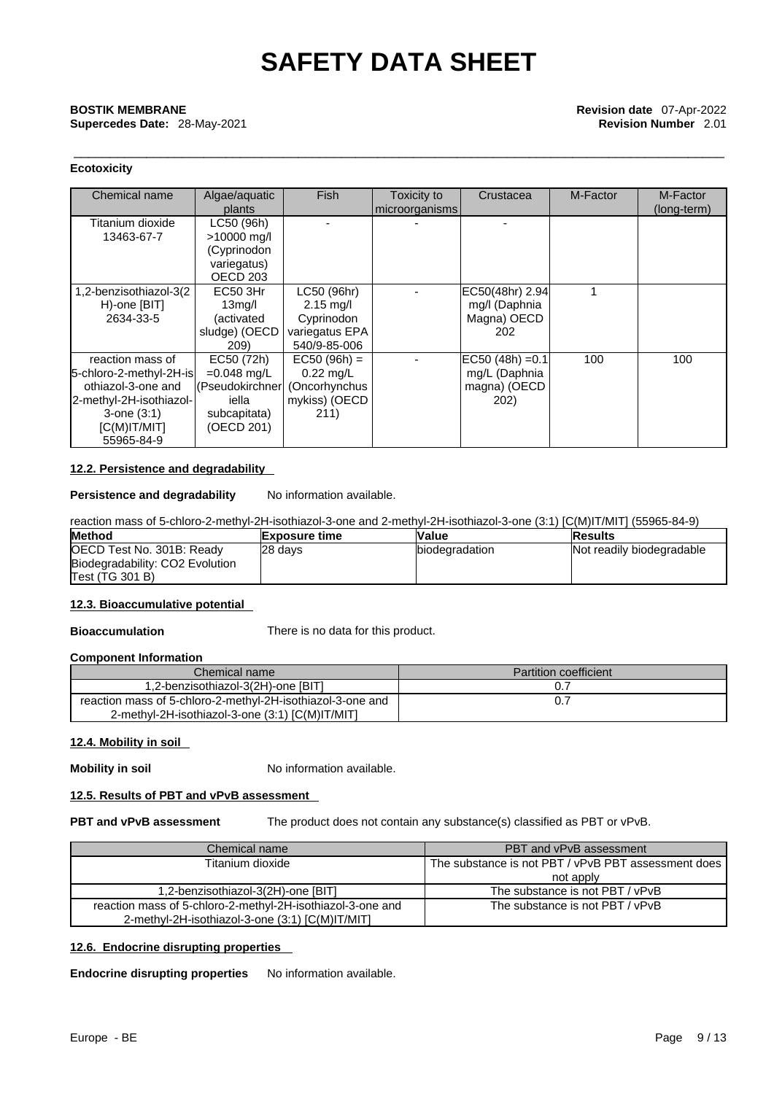\_\_\_\_\_\_\_\_\_\_\_\_\_\_\_\_\_\_\_\_\_\_\_\_\_\_\_\_\_\_\_\_\_\_\_\_\_\_\_\_\_\_\_\_\_\_\_\_\_\_\_\_\_\_\_\_\_\_\_\_\_\_\_\_\_\_\_\_\_\_\_\_\_\_\_\_\_\_\_\_\_\_\_\_\_\_\_\_\_\_ **BOSTIK MEMBRANE Revision date** 07-Apr-2022

**Supercedes Date:** 28-May-2021 **Revision Number** 2.01

# **Ecotoxicity**

| Chemical name                                                                                                                                 | Algae/aquatic<br>plants                                                                              | <b>Fish</b>                                                                        | Toxicity to<br>microorganisms | Crustacea                                                   | M-Factor | M-Factor<br>(long-term) |
|-----------------------------------------------------------------------------------------------------------------------------------------------|------------------------------------------------------------------------------------------------------|------------------------------------------------------------------------------------|-------------------------------|-------------------------------------------------------------|----------|-------------------------|
| Titanium dioxide<br>13463-67-7                                                                                                                | LC50 (96h)<br>>10000 mg/l<br>(Cyprinodon<br>variegatus)<br>OECD <sub>203</sub>                       |                                                                                    |                               |                                                             |          |                         |
| 1,2-benzisothiazol-3(2<br>H)-one [BIT]<br>2634-33-5                                                                                           | <b>EC50 3Hr</b><br>13 <sub>mq</sub> /l<br>(activated<br>sludge) (OECD<br>209)                        | LC50 (96hr)<br>$2.15 \text{ mg/l}$<br>Cyprinodon<br>variegatus EPA<br>540/9-85-006 |                               | EC50(48hr) 2.94<br>mg/I (Daphnia<br>Magna) OECD<br>202      |          |                         |
| reaction mass of<br>5-chloro-2-methyl-2H-is<br>othiazol-3-one and<br>2-methyl-2H-isothiazol-<br>$3$ -one $(3:1)$<br>IC(M)IT/MIT<br>55965-84-9 | EC50 (72h)<br>$=0.048$ mg/L<br>(Pseudokirchner) (Oncorhynchus<br>iella<br>subcapitata)<br>(OECD 201) | $EC50 (96h) =$<br>$0.22$ mg/L<br>mykiss) (OECD<br>211)                             |                               | $EC50 (48h) = 0.1$<br>mg/L (Daphnia<br>magna) (OECD<br>202) | 100      | 100                     |

## **12.2. Persistence and degradability**

**Persistence and degradability** No information available.

reaction mass of 5-chloro-2-methyl-2H-isothiazol-3-one and 2-methyl-2H-isothiazol-3-one (3:1) [C(M)IT/MIT] (55965-84-9)

| <b>Method</b>                   | lExposure time | <b>Value</b>          | <b>Results</b>            |
|---------------------------------|----------------|-----------------------|---------------------------|
| OECD Test No. 301B: Ready       | 28 days        | <b>biodegradation</b> | Not readily biodegradable |
| Biodegradability: CO2 Evolution |                |                       |                           |
| Test (TG 301 B)                 |                |                       |                           |

# **12.3. Bioaccumulative potential**

**Bioaccumulation** There is no data for this product.

# **Component Information**

| Chemical name                                              | <b>Partition coefficient</b> |
|------------------------------------------------------------|------------------------------|
| 1,2-benzisothiazol-3(2H)-one [BIT]                         |                              |
| reaction mass of 5-chloro-2-methyl-2H-isothiazol-3-one and |                              |
| 2-methyl-2H-isothiazol-3-one (3:1) [C(M)IT/MIT]            |                              |

# **12.4. Mobility in soil**

**Mobility in soil** No information available.

# **12.5. Results of PBT and vPvB assessment**

**PBT and vPvB assessment** The product does not contain any substance(s) classified as PBT or vPvB.

| Chemical name                                              | PBT and vPvB assessment                               |
|------------------------------------------------------------|-------------------------------------------------------|
| Titanium dioxide                                           | l The substance is not PBT / vPvB PBT assessment does |
|                                                            | not apply                                             |
| 1,2-benzisothiazol-3(2H)-one [BIT]                         | The substance is not PBT / vPvB                       |
| reaction mass of 5-chloro-2-methyl-2H-isothiazol-3-one and | The substance is not PBT / vPvB                       |
| 2-methyl-2H-isothiazol-3-one (3:1) [C(M)IT/MIT]            |                                                       |

# **12.6. Endocrine disrupting properties**

**Endocrine disrupting properties** No information available.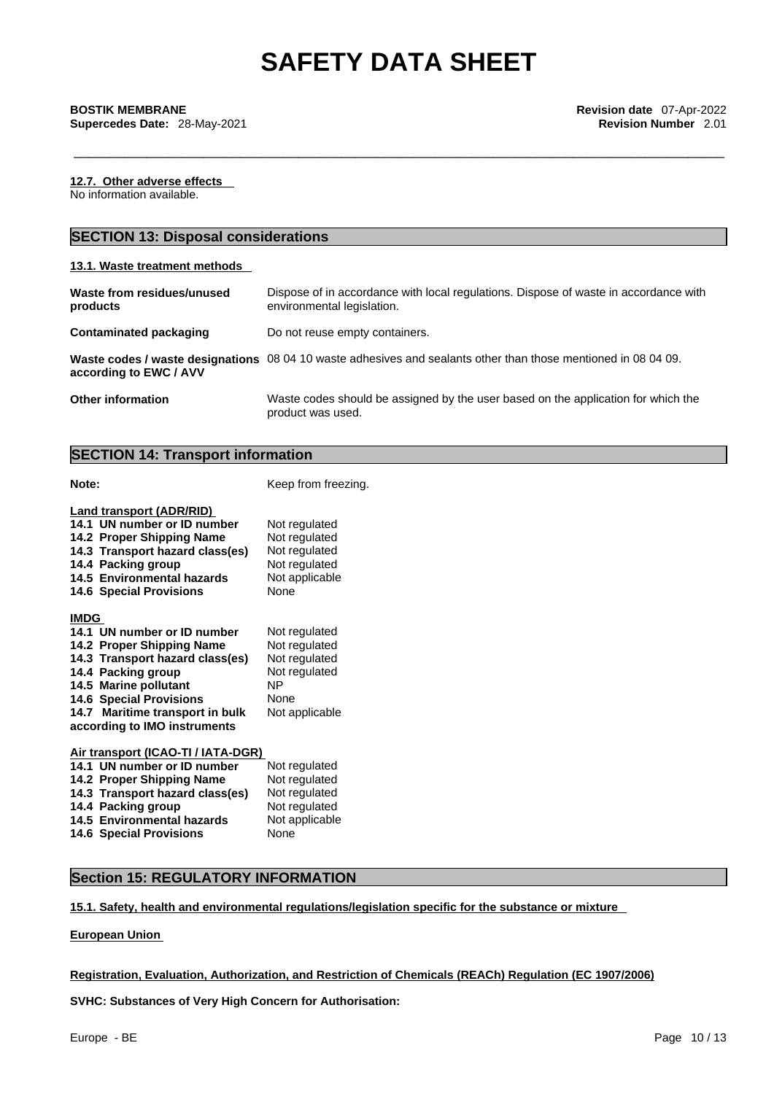**12.7. Other adverse effects** 

No information available.

# **SECTION 13: Disposal considerations**

## **13.1. Waste treatment methods**

| Waste from residues/unused<br>products | Dispose of in accordance with local regulations. Dispose of waste in accordance with<br>environmental legislation. |
|----------------------------------------|--------------------------------------------------------------------------------------------------------------------|
| Contaminated packaging                 | Do not reuse empty containers.                                                                                     |
| according to EWC / AVV                 | Waste codes / waste designations 08 04 10 waste adhesives and sealants other than those mentioned in 08 04 09.     |
| <b>Other information</b>               | Waste codes should be assigned by the user based on the application for which the                                  |

# **SECTION 14: Transport information**

**Note: Note: Keep from freezing.** 

product was used.

| Land transport (ADR/RID)<br>14.1 UN number or ID number<br>14.2 Proper Shipping Name<br>14.3 Transport hazard class(es)<br>14.4 Packing group<br>14.5 Environmental hazards<br><b>14.6 Special Provisions</b> | Not regulated<br>Not regulated<br>Not regulated<br>Not regulated<br>Not applicable<br>None |
|---------------------------------------------------------------------------------------------------------------------------------------------------------------------------------------------------------------|--------------------------------------------------------------------------------------------|
| <b>IMDG</b>                                                                                                                                                                                                   |                                                                                            |
| 14.1 UN number or ID number                                                                                                                                                                                   | Not regulated                                                                              |
| 14.2 Proper Shipping Name                                                                                                                                                                                     | Not regulated                                                                              |
| 14.3 Transport hazard class(es)                                                                                                                                                                               | Not regulated                                                                              |
| 14.4 Packing group                                                                                                                                                                                            | Not regulated                                                                              |
| 14.5 Marine pollutant                                                                                                                                                                                         | ΝP                                                                                         |
| <b>14.6 Special Provisions</b>                                                                                                                                                                                | None                                                                                       |
| 14.7 Maritime transport in bulk                                                                                                                                                                               | Not applicable                                                                             |
| according to IMO instruments                                                                                                                                                                                  |                                                                                            |
| Air transport (ICAO-TI / IATA-DGR)<br>14.1 UN number or ID number                                                                                                                                             | Not regulated                                                                              |

| 14.1 UN number or ID number     | <b>NOT requiated</b> |
|---------------------------------|----------------------|
| 14.2 Proper Shipping Name       | Not regulated        |
| 14.3 Transport hazard class(es) | Not regulated        |
| 14.4 Packing group              | Not regulated        |
| 14.5 Environmental hazards      | Not applicable       |
| <b>14.6 Special Provisions</b>  | None                 |

# **Section 15: REGULATORY INFORMATION**

## **15.1. Safety, health and environmental regulations/legislation specific for the substance or mixture**

## **European Union**

# **Registration, Evaluation, Authorization, and Restriction of Chemicals (REACh) Regulation (EC 1907/2006)**

**SVHC: Substances of Very High Concern for Authorisation:**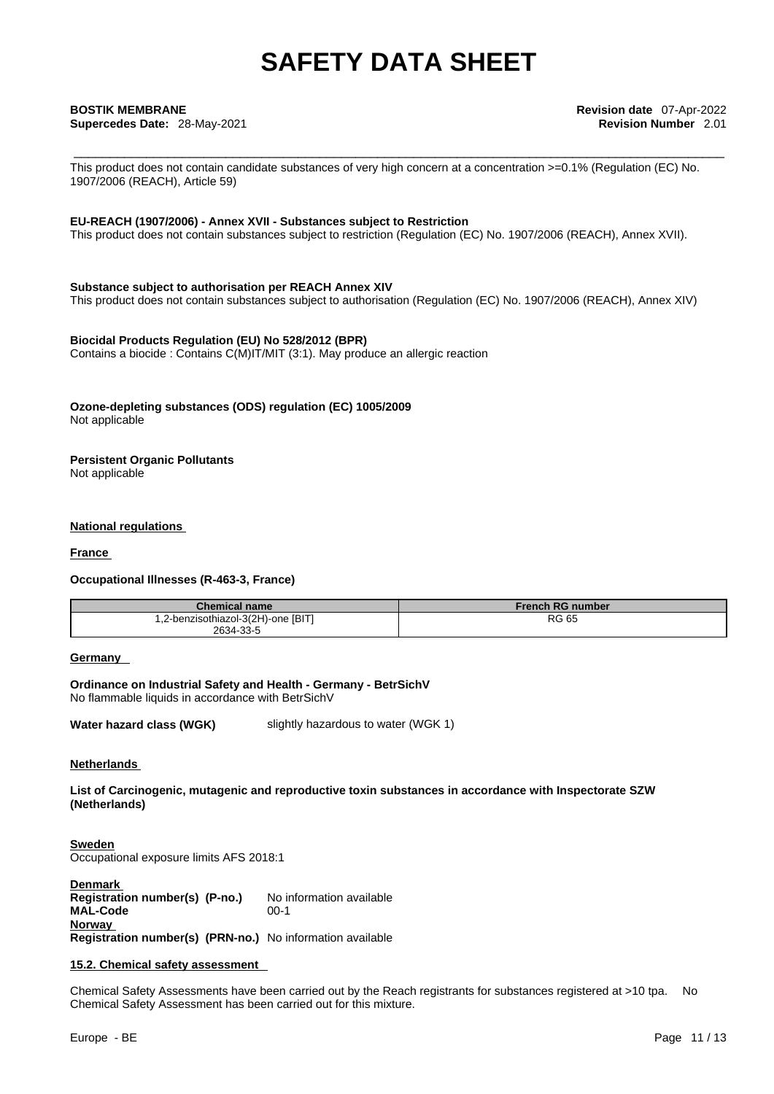**Supercedes Date:** 28-May-2021 **Revision Number** 2.01

This product does not contain candidate substances of very high concern at a concentration >=0.1% (Regulation (EC) No. 1907/2006 (REACH), Article 59)

## **EU-REACH (1907/2006) - Annex XVII - Substances subject to Restriction**

This product does not contain substances subject to restriction (Regulation (EC) No. 1907/2006 (REACH), Annex XVII).

## **Substance subject to authorisation per REACH Annex XIV**

This product does not contain substances subject to authorisation (Regulation (EC) No. 1907/2006 (REACH), Annex XIV)

## **Biocidal Products Regulation (EU) No 528/2012 (BPR)**

Contains a biocide : Contains C(M)IT/MIT (3:1). May produce an allergic reaction

### **Ozone-depleting substances (ODS) regulation (EC) 1005/2009** Not applicable

**Persistent Organic Pollutants** Not applicable

### **National regulations**

**France** 

### **Occupational Illnesses (R-463-3, France)**

| <b>Chemical name</b>               | <b>French RG number</b> |
|------------------------------------|-------------------------|
| 1,2-benzisothiazol-3(2H)-one [BIT] | <b>RG 65</b>            |
| 2634-33-5                          |                         |

### **Germany**

**Ordinance on Industrial Safety and Health - Germany - BetrSichV** No flammable liquids in accordance with BetrSichV

**Water hazard class (WGK)** slightly hazardous to water (WGK 1)

### **Netherlands**

**List of Carcinogenic, mutagenic and reproductive toxin substances in accordance with Inspectorate SZW (Netherlands)**

**Sweden** Occupational exposure limits AFS 2018:1

**Denmark Registration number(s) (P-no.)** No information available **MAL-Code** 00-1 **Norway Registration number(s) (PRN-no.)** No information available

### **15.2. Chemical safety assessment**

Chemical Safety Assessments have been carried out by the Reach registrants for substances registered at >10 tpa. No Chemical Safety Assessment has been carried out for this mixture.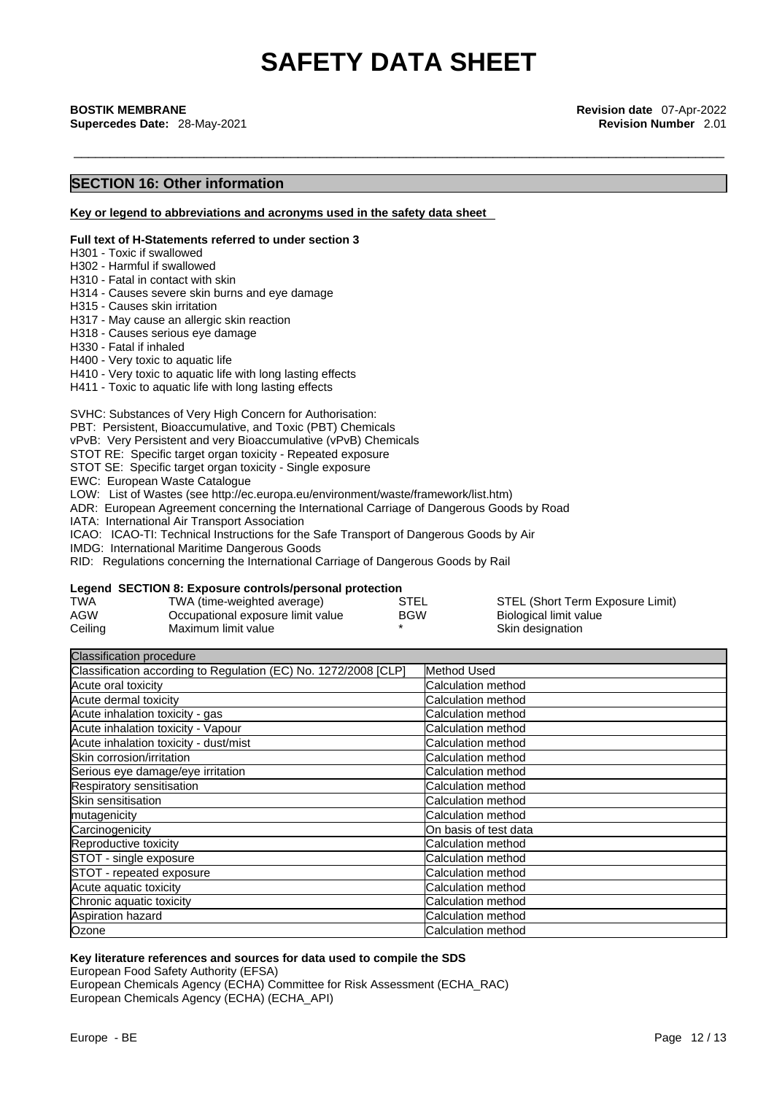\_\_\_\_\_\_\_\_\_\_\_\_\_\_\_\_\_\_\_\_\_\_\_\_\_\_\_\_\_\_\_\_\_\_\_\_\_\_\_\_\_\_\_\_\_\_\_\_\_\_\_\_\_\_\_\_\_\_\_\_\_\_\_\_\_\_\_\_\_\_\_\_\_\_\_\_\_\_\_\_\_\_\_\_\_\_\_\_\_\_ **BOSTIK MEMBRANE Revision date** 07-Apr-2022 **Supercedes Date:** 28-May-2021 **Revision Number** 2.01

# **SECTION 16: Other information**

**Key or legend to abbreviations and acronyms used in the safety data sheet**

#### **Full text of H-Statements referred to under section 3**

H301 - Toxic if swallowed

- H302 Harmful if swallowed
- H310 Fatal in contact with skin
- H314 Causes severe skin burns and eye damage
- H315 Causes skin irritation
- H317 May cause an allergic skin reaction
- H318 Causes serious eye damage
- H330 Fatal if inhaled
- H400 Very toxic to aquatic life

H410 - Very toxic to aquatic life with long lasting effects

H411 - Toxic to aquatic life with long lasting effects

SVHC: Substances of Very High Concern for Authorisation:

PBT: Persistent, Bioaccumulative, and Toxic (PBT) Chemicals

vPvB: Very Persistent and very Bioaccumulative (vPvB) Chemicals

STOT RE: Specific target organ toxicity - Repeated exposure

STOT SE: Specific target organ toxicity - Single exposure

EWC: European Waste Catalogue

LOW: List of Wastes (see http://ec.europa.eu/environment/waste/framework/list.htm)

ADR: European Agreement concerning the International Carriage of Dangerous Goods by Road

IATA: International Air Transport Association

ICAO: ICAO-TI: Technical Instructions for the Safe Transport of Dangerous Goods by Air

IMDG: International Maritime Dangerous Goods

RID: Regulations concerning the International Carriage of Dangerous Goods by Rail

## **Legend SECTION 8: Exposure controls/personal protection**

| <b>TWA</b> | TWA (time-weighted average)       | STEL       | STEL (Short Term Exposure Limit) |
|------------|-----------------------------------|------------|----------------------------------|
| AGW        | Occupational exposure limit value | <b>BGW</b> | Biological limit value           |
| Ceiling    | Maximum limit value               |            | Skin designation                 |

Classification procedure Classification according to Regulation (EC) No. 1272/2008 [CLP] Method Used Acute oral toxicity **Calculation method** Calculation method Acute dermal toxicity Calculation method Calculation method Acute inhalation toxicity - gas Calculation method Calculation method Acute inhalation toxicity - Vapour Calculation method Calculation method Acute inhalation toxicity - dust/mist Calculation method Calculation method Skin corrosion/irritation community control calculation method Serious eye damage/eye irritation contraction control calculation method Respiratory sensitisation **Calculation** Calculation method Skin sensitisation **Calculation** Calculation method mutagenicity **Calculation method** Calculation method Carcinogenicity On basis of test data Reproductive toxicity **Calculation method** STOT - single exposure contract the calculation method STOT - repeated exposure Calculation method Acute aquatic toxicity **Calculation method** Chronic aquatic toxicity Calculation method Calculation method Aspiration hazard **Calculation method Calculation method** Ozone Calculation method Calculation method

### **Key literature references and sources for data used to compile the SDS**

European Food Safety Authority (EFSA)

European Chemicals Agency (ECHA) Committee for Risk Assessment (ECHA\_RAC) European Chemicals Agency (ECHA) (ECHA\_API)